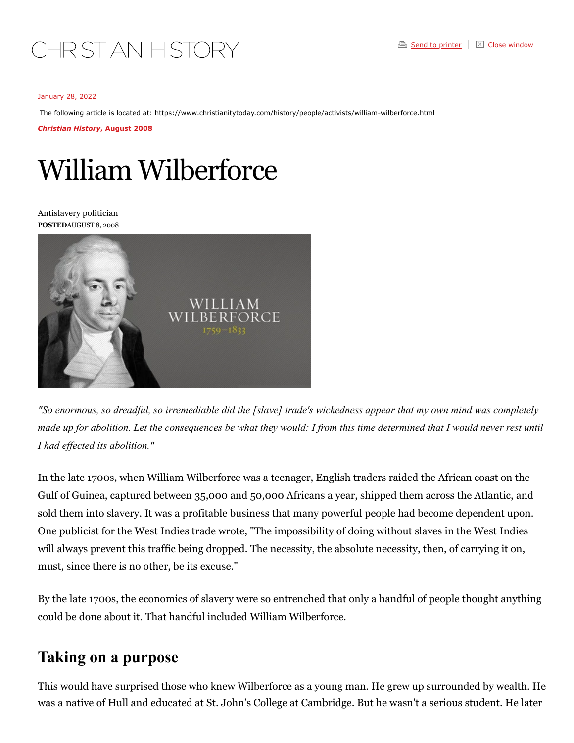## January 28, 2022

The following article is located at:<https://www.christianitytoday.com/history/people/activists/william-wilberforce.html>

*Christian History***, August 2008**

## William Wilberforce

Antislavery politician **POSTED**AUGUST 8, 2008



"So enormous, so dreadful, so irremediable did the [slave] trade's wickedness appear that my own mind was completely made up for abolition. Let the consequences be what they would: I from this time determined that I would never rest until *I had ef ected its abolition."*

In the late 1700s, when William Wilberforce was a teenager, English traders raided the African coast on the Gulf of Guinea, captured between 35,000 and 50,000 Africans a year, shipped them across the Atlantic, and sold them into slavery. It was a profitable business that many powerful people had become dependent upon. One publicist for the West Indies trade wrote, "The impossibility of doing without slaves in the West Indies will always prevent this traffic being dropped. The necessity, the absolute necessity, then, of carrying it on, must, since there is no other, be its excuse."

By the late 1700s, the economics of slavery were so entrenched that only a handful of people thought anything could be done about it. That handful included William Wilberforce.

## **Taking on a purpose**

This would have surprised those who knew Wilberforce as a young man. He grew up surrounded by wealth. He was a native of Hull and educated at St. John's College at Cambridge. But he wasn't a serious student. He later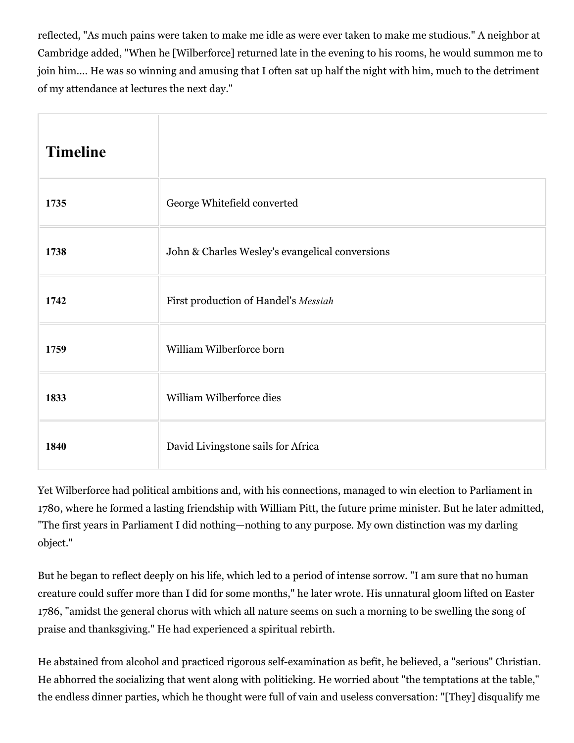reflected, "As much pains were taken to make me idle as were ever taken to make me studious." A neighbor at Cambridge added, "When he [Wilberforce] returned late in the evening to his rooms, he would summon me to join him…. He was so winning and amusing that I often sat up half the night with him, much to the detriment of my attendance at lectures the next day."

| <b>Timeline</b> |                                                 |
|-----------------|-------------------------------------------------|
| 1735            | George Whitefield converted                     |
| 1738            | John & Charles Wesley's evangelical conversions |
| 1742            | First production of Handel's Messiah            |
| 1759            | William Wilberforce born                        |
| 1833            | William Wilberforce dies                        |
| 1840            | David Livingstone sails for Africa              |

Yet Wilberforce had political ambitions and, with his connections, managed to win election to Parliament in 1780, where he formed a lasting friendship with William Pitt, the future prime minister. But he later admitted, "The first years in Parliament I did nothing—nothing to any purpose. My own distinction was my darling object."

But he began to reflect deeply on his life, which led to a period of intense sorrow. "I am sure that no human creature could suffer more than I did for some months," he later wrote. His unnatural gloom lifted on Easter 1786, "amidst the general chorus with which all nature seems on such a morning to be swelling the song of praise and thanksgiving." He had experienced a spiritual rebirth.

He abstained from alcohol and practiced rigorous self-examination as befit, he believed, a "serious" Christian. He abhorred the socializing that went along with politicking. He worried about "the temptations at the table," the endless dinner parties, which he thought were full of vain and useless conversation: "[They] disqualify me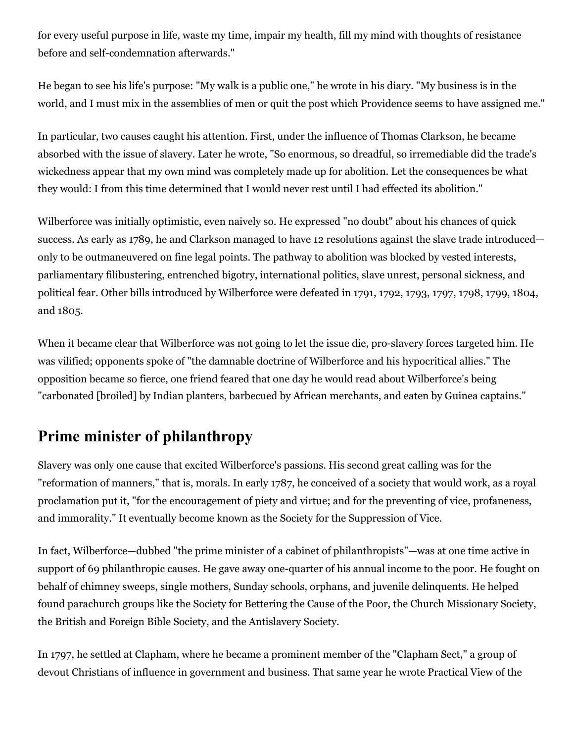for every useful purpose in life, waste my time, impair my health, fill my mind with thoughts of resistance before and self-condemnation afterwards."

He began to see his life's purpose: "My walk is a public one," he wrote in his diary. "My business is in the world, and I must mix in the assemblies of men or quit the post which Providence seems to have assigned me."

In particular, two causes caught his attention. First, under the influence of Thomas Clarkson, he became absorbed with the issue of slavery. Later he wrote, "So enormous, so dreadful, so irremediable did the trade's wickedness appear that my own mind was completely made up for abolition. Let the consequences be what they would: I from this time determined that I would never rest until I had effected its abolition."

Wilberforce was initially optimistic, even naively so. He expressed "no doubt" about his chances of quick success. As early as 1789, he and Clarkson managed to have 12 resolutions against the slave trade introduced only to be outmaneuvered on fine legal points. The pathway to abolition was blocked by vested interests, parliamentary filibustering, entrenched bigotry, international politics, slave unrest, personal sickness, and political fear. Other bills introduced by Wilberforce were defeated in 1791, 1792, 1793, 1797, 1798, 1799, 1804, and 1805.

When it became clear that Wilberforce was not going to let the issue die, pro-slavery forces targeted him. He was vilified; opponents spoke of "the damnable doctrine of Wilberforce and his hypocritical allies." The opposition became so fierce, one friend feared that one day he would read about Wilberforce's being "carbonated [broiled] by Indian planters, barbecued by African merchants, and eaten by Guinea captains."

## **Prime minister of philanthropy**

Slavery was only one cause that excited Wilberforce's passions. His second great calling was for the "reformation of manners," that is, morals. In early 1787, he conceived of a society that would work, as a royal proclamation put it, "for the encouragement of piety and virtue; and for the preventing of vice, profaneness, and immorality." It eventually become known as the Society for the Suppression of Vice.

In fact, Wilberforce—dubbed "the prime minister of a cabinet of philanthropists"—was at one time active in support of 69 philanthropic causes. He gave away one-quarter of his annual income to the poor. He fought on behalf of chimney sweeps, single mothers, Sunday schools, orphans, and juvenile delinquents. He helped found parachurch groups like the Society for Bettering the Cause of the Poor, the Church Missionary Society, the British and Foreign Bible Society, and the Antislavery Society.

In 1797, he settled at Clapham, where he became a prominent member of the "Clapham Sect," a group of devout Christians of influence in government and business. That same year he wrote Practical View of the